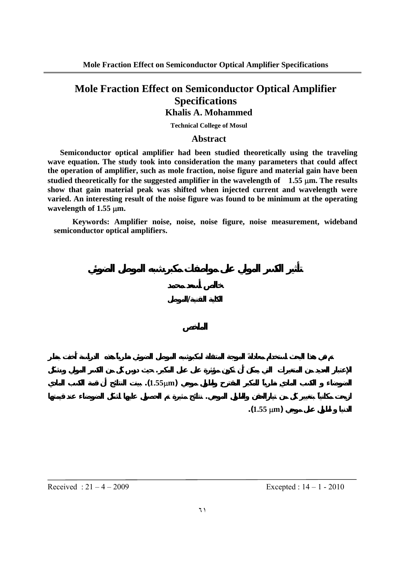# **Khalis A. Mohammed**

**Technical College of Mosul** 

## **Abstract**

**Semiconductor optical amplifier had been studied theoretically using the traveling wave equation. The study took into consideration the many parameters that could affect the operation of amplifier, such as mole fraction, noise figure and material gain have been studied theoretically for the suggested amplifier in the wavelength of 1.55** µ**m. The results show that gain material peak was shifted when injected current and wavelength were varied. An interesting result of the noise figure was found to be minimum at the operating wavelength of 1.55** µ**m.** 

**Keywords: Amplifier noise, noise, noise figure, noise measurement, wideband semiconductor optical amplifiers.** 

**الكلية التقنية/الموصل** 

**تم في هذا البحث استخدام معادلةَ الموجة المتنقلة كبرشبه الموصل الضوئي نظرياً.هذه الدراسة أَخذت بنظر**

and the state of the state of the state of the state of the state of the state of the state of the state of th

**ازيحت مكاني بتغيير كل من تيارالحقن الطول الموج . نتائج مثيرة تم الحصول عليها لشكل الضوضاء عند قيمتها**

**الضوضاء الكسب الماديِ نظرياً للمكبر المقترحِ ولطول موج (**µ**m1.55(. بينت النتائج أن قمة الكسب المادي**

 $(1.55 \mu m)$ 

Received :  $21 - 4 - 2009$  Excepted :  $14 - 1 - 2010$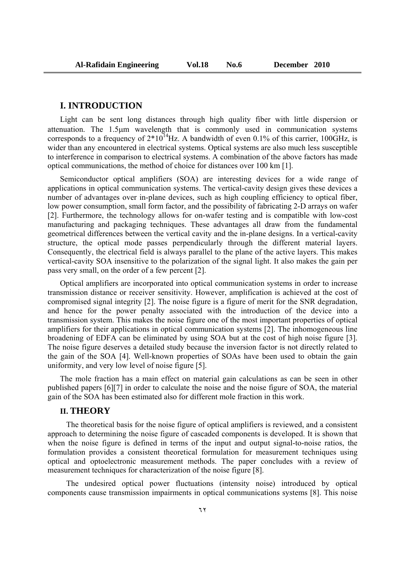### **I. INTRODUCTION**

Light can be sent long distances through high quality fiber with little dispersion or attenuation. The 1.5µm wavelength that is commonly used in communication systems corresponds to a frequency of  $2*10^{14}$ Hz. A bandwidth of even 0.1% of this carrier, 100GHz, is wider than any encountered in electrical systems. Optical systems are also much less susceptible to interference in comparison to electrical systems. A combination of the above factors has made optical communications, the method of choice for distances over 100 km [1].

Semiconductor optical amplifiers (SOA) are interesting devices for a wide range of applications in optical communication systems. The vertical-cavity design gives these devices a number of advantages over in-plane devices, such as high coupling efficiency to optical fiber, low power consumption, small form factor, and the possibility of fabricating 2-D arrays on wafer [2]. Furthermore, the technology allows for on-wafer testing and is compatible with low-cost manufacturing and packaging techniques. These advantages all draw from the fundamental geometrical differences between the vertical cavity and the in-plane designs. In a vertical-cavity structure, the optical mode passes perpendicularly through the different material layers. Consequently, the electrical field is always parallel to the plane of the active layers. This makes vertical-cavity SOA insensitive to the polarization of the signal light. It also makes the gain per pass very small, on the order of a few percent [2].

Optical amplifiers are incorporated into optical communication systems in order to increase transmission distance or receiver sensitivity. However, amplification is achieved at the cost of compromised signal integrity [2]. The noise figure is a figure of merit for the SNR degradation, and hence for the power penalty associated with the introduction of the device into a transmission system. This makes the noise figure one of the most important properties of optical amplifiers for their applications in optical communication systems [2]. The inhomogeneous line broadening of EDFA can be eliminated by using SOA but at the cost of high noise figure [3]. The noise figure deserves a detailed study because the inversion factor is not directly related to the gain of the SOA [4]. Well-known properties of SOAs have been used to obtain the gain uniformity, and very low level of noise figure [5].

The mole fraction has a main effect on material gain calculations as can be seen in other published papers [6][7] in order to calculate the noise and the noise figure of SOA, the material gain of the SOA has been estimated also for different mole fraction in this work.

### **II. THEORY**

The theoretical basis for the noise figure of optical amplifiers is reviewed, and a consistent approach to determining the noise figure of cascaded components is developed. It is shown that when the noise figure is defined in terms of the input and output signal-to-noise ratios, the formulation provides a consistent theoretical formulation for measurement techniques using optical and optoelectronic measurement methods. The paper concludes with a review of measurement techniques for characterization of the noise figure [8].

The undesired optical power fluctuations (intensity noise) introduced by optical components cause transmission impairments in optical communications systems [8]. This noise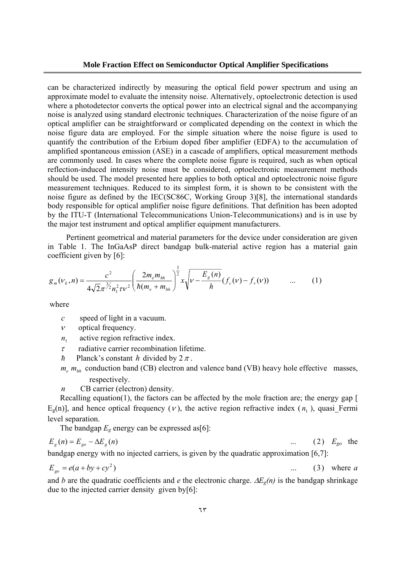can be characterized indirectly by measuring the optical field power spectrum and using an approximate model to evaluate the intensity noise. Alternatively, optoelectronic detection is used where a photodetector converts the optical power into an electrical signal and the accompanying noise is analyzed using standard electronic techniques. Characterization of the noise figure of an optical amplifier can be straightforward or complicated depending on the context in which the noise figure data are employed. For the simple situation where the noise figure is used to quantify the contribution of the Erbium doped fiber amplifier (EDFA) to the accumulation of amplified spontaneous emission (ASE) in a cascade of amplifiers, optical measurement methods are commonly used. In cases where the complete noise figure is required, such as when optical reflection-induced intensity noise must be considered, optoelectronic measurement methods should be used. The model presented here applies to both optical and optoelectronic noise figure measurement techniques. Reduced to its simplest form, it is shown to be consistent with the noise figure as defined by the IEC(SC86C, Working Group 3)[8], the international standards body responsible for optical amplifier noise figure definitions. That definition has been adopted by the ITU-T (International Telecommunications Union-Telecommunications) and is in use by the major test instrument and optical amplifier equipment manufacturers.

Pertinent geometrical and material parameters for the device under consideration are given in Table 1. The InGaAsP direct bandgap bulk-material active region has a material gain coefficient given by [6]:

$$
g_m(\nu_k, n) = \frac{c^2}{4\sqrt{2\pi^2 n_1^2 \tau \nu^2}} \left( \frac{2m_e m_{hh}}{\hbar (m_e + m_{hh})} \right)^{\frac{3}{2}} x \sqrt{\nu - \frac{E_g(n)}{\hbar}} (f_c(\nu) - f_\nu(\nu)) \qquad \dots \qquad (1)
$$

where

- *c* speed of light in a vacuum.
- $\nu$  optical frequency.
- $n_1$  active region refractive index.
- $\tau$  radiative carrier recombination lifetime.
- h Planck's constant h divided by  $2\pi$ .
- $m_e$   $m_{hh}$  conduction band (CB) electron and valence band (VB) heavy hole effective masses, respectively.
- *n* CB carrier (electron) density.

Recalling equation(1), the factors can be affected by the mole fraction are; the energy gap [  $E_g(n)$ ], and hence optical frequency (*v*), the active region refractive index ( $n<sub>1</sub>$ ), quasi Fermi level separation.

The bandgap  $E_g$  energy can be expressed as[6]:

$$
E_g(n) = E_{go} - \Delta E_g(n) \tag{2} \qquad \qquad \dots \qquad (2) \quad E_{go} \quad \text{the}
$$

bandgap energy with no injected carriers, is given by the quadratic approximation [6,7]:

$$
E_{go} = e(a + by + cy^2) \tag{3} \qquad (3)
$$

and *b* are the quadratic coefficients and *e* the electronic charge. ∆*Eg(n)* is the bandgap shrinkage due to the injected carrier density given by[6]: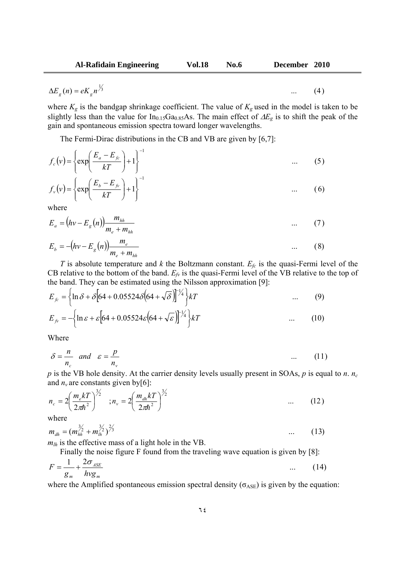$$
\Delta E_g(n) = eK_g n^{\frac{1}{3}} \tag{4}
$$

where  $K_g$  is the bandgap shrinkage coefficient. The value of  $K_g$  used in the model is taken to be slightly less than the value for In<sub>0.15</sub>Ga<sub>0.85</sub>As. The main effect of ∆*E<sub>g</sub>* is to shift the peak of the gain and spontaneous emission spectra toward longer wavelengths.

The Fermi-Dirac distributions in the CB and VB are given by [6,7]:

$$
f_c(v) = \left\{ \exp\left(\frac{E_a - E_{fc}}{kT}\right) + 1 \right\}^{-1} \qquad \dots \qquad (5)
$$
  

$$
f_v(v) = \left\{ \exp\left(\frac{E_b - E_{fv}}{kT}\right) + 1 \right\}^{-1} \qquad \dots \qquad (6)
$$

where

$$
E_a = (hv - E_g(n))\frac{m_{hh}}{m_e + m_{hh}}
$$
 ... (7)

$$
E_b = -(hv - E_g(n))\frac{m_e}{m_e + m_{hh}}
$$
 (8)

*T* is absolute temperature and *k* the Boltzmann constant. *Efc* is the quasi-Fermi level of the CB relative to the bottom of the band.  $E_f$  is the quasi-Fermi level of the VB relative to the top of the band. They can be estimated using the Nilsson approximation [9]:

$$
E_{f_c} = \left\{ \ln \delta + \delta \left[ 64 + 0.05524 \delta \left( 64 + \sqrt{\delta} \right) \right]^{-1/4} \right\} kT \tag{9}
$$

$$
E_{f} = -\left\{\ln \varepsilon + \varepsilon \left[64 + 0.05524 \varepsilon \left(64 + \sqrt{\varepsilon}\right)\right]^{1/4}\right\} kT \tag{10}
$$

Where

$$
\delta = \frac{n}{n_c} \quad and \quad \varepsilon = \frac{p}{n_v} \tag{11}
$$

 $p$  is the VB hole density. At the carrier density levels usually present in SOAs,  $p$  is equal to  $n. n_c$ and  $n<sub>v</sub>$  are constants given by[6]:

$$
n_c = 2 \left( \frac{m_e kT}{2\pi\hbar^2} \right)^{3/2} \quad ; n_v = 2 \left( \frac{m_{dh} kT}{2\pi\hbar^2} \right)^{3/2} \quad \dots \quad (12)
$$

where

$$
m_{dh} = (m_{hh}^{3/2} + m_{lh}^{3/2})^{2/3} \qquad \qquad \dots \qquad (13)
$$

*mlh* is the effective mass of a light hole in the VB.

Finally the noise figure F found from the traveling wave equation is given by [8]:

$$
F = \frac{1}{g_m} + \frac{2\sigma_{ASE}}{hvg_m} \tag{14}
$$

where the Amplified spontaneous emission spectral density ( $\sigma_{\text{ASE}}$ ) is given by the equation: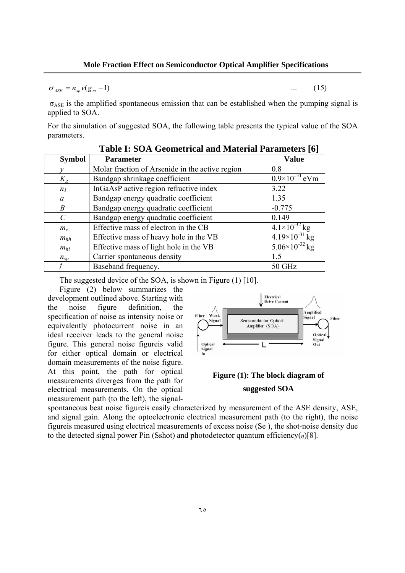$\sigma_{\text{ASE}} = n_{\text{on}} v(g_m - 1)$  (15)

 $\sigma_{\text{ASE}}$  is the amplified spontaneous emission that can be established when the pumping signal is applied to SOA.

For the simulation of suggested SOA, the following table presents the typical value of the SOA parameters.

| <b>Symbol</b>  | Tabic 1. DOTT OCOMICITICAL AND IMARTIAL L'ALAMICICI 9 [0]<br><b>Parameter</b> | Value                     |
|----------------|-------------------------------------------------------------------------------|---------------------------|
|                | Molar fraction of Arsenide in the active region                               | 0.8                       |
| $K_{g}$        | Bandgap shrinkage coefficient                                                 | $0.9\times10^{-10}$ eVm   |
| n <sub>I</sub> | InGaAsP active region refractive index                                        | 3.22                      |
| a              | Bandgap energy quadratic coefficient                                          | 1.35                      |
| B              | Bandgap energy quadratic coefficient                                          | $-0.775$                  |
| $\mathcal{C}$  | Bandgap energy quadratic coefficient                                          | 0.149                     |
| $m_e$          | Effective mass of electron in the CB                                          | $4.1 \times 10^{-32}$ kg  |
| $m_{hh}$       | Effective mass of heavy hole in the VB                                        | $4.19\times10^{-31}$ kg   |
| $m_{hl}$       | Effective mass of light hole in the VB                                        | $5.06 \times 10^{-32}$ kg |
| $n_{sp}$       | Carrier spontaneous density                                                   | 1.5                       |
|                | Baseband frequency.                                                           | <b>50 GHz</b>             |

|  |  |  | <b>Table I: SOA Geometrical and Material Parameters [6]</b> |
|--|--|--|-------------------------------------------------------------|
|--|--|--|-------------------------------------------------------------|

The suggested device of the SOA, is shown in Figure (1) [10].

Figure (2) below summarizes the development outlined above. Starting with the noise figure definition, the specification of noise as intensity noise or equivalently photocurrent noise in an ideal receiver leads to the general noise figure. This general noise figureis valid for either optical domain or electrical domain measurements of the noise figure. At this point, the path for optical measurements diverges from the path for electrical measurements. On the optical measurement path (to the left), the signal-



# **Figure (1): The block diagram of suggested SOA**

spontaneous beat noise figureis easily characterized by measurement of the ASE density, ASE, and signal gain. Along the optoelectronic electrical measurement path (to the right), the noise figureis measured using electrical measurements of excess noise (Se ), the shot-noise density due to the detected signal power Pin (Sshot) and photodetector quantum efficiency(*η*)[8].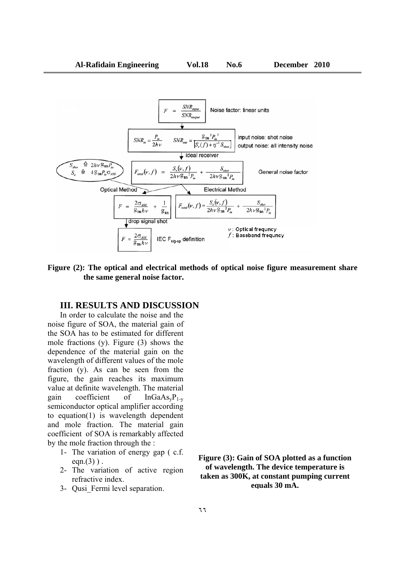

### **Figure (2): The optical and electrical methods of optical noise figure measurement share the same general noise factor.**

# **III. RESULTS AND DISCUSSION**

In order to calculate the noise and the noise figure of SOA, the material gain of the SOA has to be estimated for different mole fractions (y). Figure (3) shows the dependence of the material gain on the wavelength of different values of the mole fraction (y). As can be seen from the figure, the gain reaches its maximum value at definite wavelength. The material gain coefficient of  $InGaAs<sub>v</sub>P<sub>1-v</sub>$ semiconductor optical amplifier according to equation(1) is wavelength dependent and mole fraction. The material gain coefficient of SOA is remarkably affected by the mole fraction through the :

- 1- The variation of energy gap ( c.f. eqn. $(3)$ ).
- 2- The variation of active region refractive index.
- 3- Qusi\_Fermi level separation.

**Figure (3): Gain of SOA plotted as a function of wavelength. The device temperature is taken as 300K, at constant pumping current equals 30 mA.**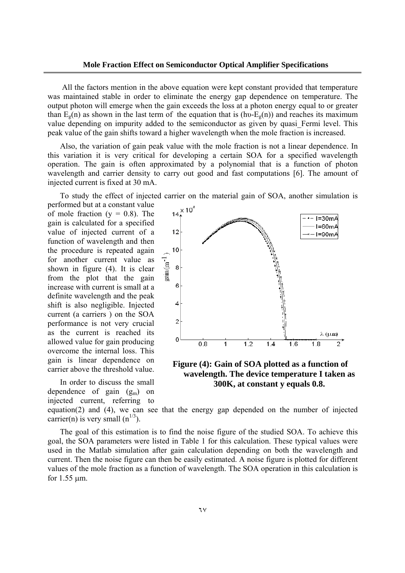All the factors mention in the above equation were kept constant provided that temperature was maintained stable in order to eliminate the energy gap dependence on temperature. The output photon will emerge when the gain exceeds the loss at a photon energy equal to or greater than  $E_g(n)$  as shown in the last term of the equation that is (hv- $E_g(n)$ ) and reaches its maximum value depending on impurity added to the semiconductor as given by quasi Fermi level. This peak value of the gain shifts toward a higher wavelength when the mole fraction is increased.

Also, the variation of gain peak value with the mole fraction is not a linear dependence. In this variation it is very critical for developing a certain SOA for a specified wavelength operation. The gain is often approximated by a polynomial that is a function of photon wavelength and carrier density to carry out good and fast computations [6]. The amount of injected current is fixed at 30 mA.

To study the effect of injected carrier on the material gain of SOA, another simulation is

performed but at a constant value of mole fraction  $(y = 0.8)$ . The gain is calculated for a specified value of injected current of a function of wavelength and then the procedure is repeated again for another current value as shown in figure (4). It is clear from the plot that the gain increase with current is small at a definite wavelength and the peak shift is also negligible. Injected current (a carriers ) on the SOA performance is not very crucial as the current is reached its allowed value for gain producing overcome the internal loss. This gain is linear dependence on carrier above the threshold value.

In order to discuss the small dependence of gain  $(g_m)$  on injected current, referring to carrier(n) is very small  $(n^{1/3})$ .



**Figure (4): Gain of SOA plotted as a function of wavelength. The device temperature I taken as 300K, at constant y equals 0.8.** 

equation(2) and (4), we can see that the energy gap depended on the number of injected

The goal of this estimation is to find the noise figure of the studied SOA. To achieve this goal, the SOA parameters were listed in Table 1 for this calculation. These typical values were used in the Matlab simulation after gain calculation depending on both the wavelength and current. Then the noise figure can then be easily estimated. A noise figure is plotted for different values of the mole fraction as a function of wavelength. The SOA operation in this calculation is for 1.55 µm.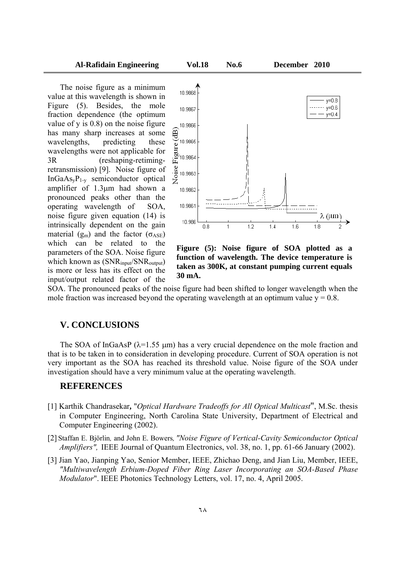value at this wavelength is shown in Figure (5). Besides, the mole fraction dependence (the optimum value of y is 0.8) on the noise figure has many sharp increases at some wavelengths, predicting these wavelengths were not applicable for 3R (reshaping-retimingretransmission) [9]. Noise figure of  $InGaAs<sub>v</sub>P<sub>1-v</sub>$  semiconductor optical amplifier of 1.3µm had shown a pronounced peaks other than the operating wavelength of SOA, noise figure given equation (14) is intrinsically dependent on the gain material ( $g_m$ ) and the factor ( $\sigma_{ASE}$ ) which can be related to the parameters of the SOA. Noise figure which known as (SNR<sub>input</sub>/SNR<sub>output</sub>) is more or less has its effect on the input/output related factor of the



**Figure (5): Noise figure of SOA plotted as a function of wavelength. The device temperature is taken as 300K, at constant pumping current equals 30 mA.** 

SOA. The pronounced peaks of the noise figure had been shifted to longer wavelength when the mole fraction was increased beyond the operating wavelength at an optimum value  $y = 0.8$ .

## **V. CONCLUSIONS**

The SOA of InGaAsP ( $\lambda$ =1.55 µm) has a very crucial dependence on the mole fraction and that is to be taken in to consideration in developing procedure. Current of SOA operation is not very important as the SOA has reached its threshold value. Noise figure of the SOA under investigation should have a very minimum value at the operating wavelength.

### **REFERENCES**

- [1] Karthik Chandrasekar**,** "*Optical Hardware Tradeoffs for All Optical Multicast*", M.Sc. thesis in Computer Engineering, North Carolina State University, Department of Electrical and Computer Engineering (2002).
- [2] Staffan E. Björlin*,* and John E. Bowers*, "Noise Figure of Vertical-Cavity Semiconductor Optical Amplifiers",* IEEE Journal of Quantum Electronics, vol. 38, no. 1, pp. 61-66 January (2002).
- [3] Jian Yao, Jianping Yao, Senior Member, IEEE, Zhichao Deng, and Jian Liu, Member, IEEE, *"Multiwavelength Erbium-Doped Fiber Ring Laser Incorporating an SOA-Based Phase Modulator*". IEEE Photonics Technology Letters, vol. 17, no. 4, April 2005.